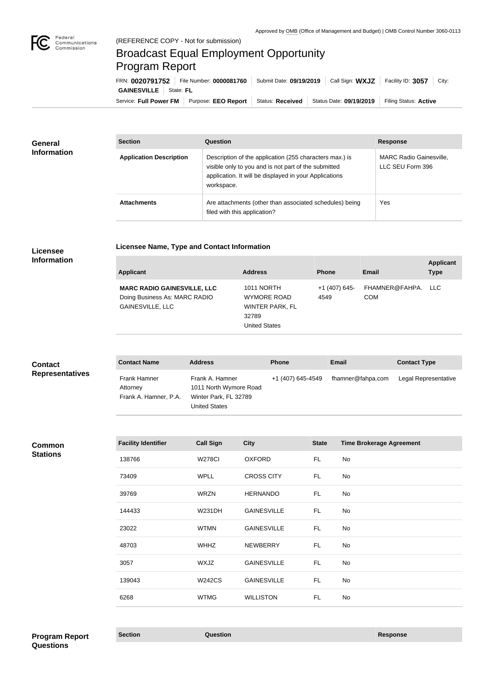

## Broadcast Equal Employment Opportunity Program Report

**Licensee Name, Type and Contact Information**

Service: Full Power FM | Purpose: EEO Report | Status: Received | Status Date: 09/19/2019 | Filing Status: Active **GAINESVILLE** | State: FL FRN: **0020791752** File Number: **0000081760** Submit Date: **09/19/2019** Call Sign: **WXJZ** Facility ID: **3057** City:

| <b>General</b><br><b>Information</b> | <b>Section</b>                 | <b>Question</b>                                                                                                                                                                         | <b>Response</b>                                    |
|--------------------------------------|--------------------------------|-----------------------------------------------------------------------------------------------------------------------------------------------------------------------------------------|----------------------------------------------------|
|                                      | <b>Application Description</b> | Description of the application (255 characters max.) is<br>visible only to you and is not part of the submitted<br>application. It will be displayed in your Applications<br>workspace. | <b>MARC Radio Gainesville,</b><br>LLC SEU Form 396 |
|                                      | <b>Attachments</b>             | Are attachments (other than associated schedules) being<br>filed with this application?                                                                                                 | Yes                                                |

## **Licensee Information**

| <b>Applicant</b>                                                                               | <b>Address</b>                                                                                     | <b>Phone</b>          | Email                            | <b>Applicant</b><br><b>Type</b> |
|------------------------------------------------------------------------------------------------|----------------------------------------------------------------------------------------------------|-----------------------|----------------------------------|---------------------------------|
| <b>MARC RADIO GAINESVILLE, LLC</b><br>Doing Business As: MARC RADIO<br><b>GAINESVILLE, LLC</b> | <b>1011 NORTH</b><br><b>WYMORE ROAD</b><br><b>WINTER PARK, FL</b><br>32789<br><b>United States</b> | +1 (407) 645-<br>4549 | FHAMNER@FAHPA. LLC<br><b>COM</b> |                                 |

| <b>Contact</b>         | <b>Contact Name</b>                               | <b>Address</b>                                                                             | <b>Phone</b>      | Email             | <b>Contact Type</b>  |
|------------------------|---------------------------------------------------|--------------------------------------------------------------------------------------------|-------------------|-------------------|----------------------|
| <b>Representatives</b> | Frank Hamner<br>Attorney<br>Frank A. Hamner, P.A. | Frank A. Hamner<br>1011 North Wymore Road<br>Winter Park, FL 32789<br><b>United States</b> | +1 (407) 645-4549 | fhamner@fahpa.com | Legal Representative |

## **Common Stations**

| <b>Facility Identifier</b> | <b>Call Sign</b> | <b>City</b>        | <b>State</b> | <b>Time Brokerage Agreement</b> |
|----------------------------|------------------|--------------------|--------------|---------------------------------|
| 138766                     | <b>W278CI</b>    | <b>OXFORD</b>      | FL.          | No                              |
| 73409                      | <b>WPLL</b>      | <b>CROSS CITY</b>  | FL.          | No                              |
| 39769                      | <b>WRZN</b>      | <b>HERNANDO</b>    | FL.          | No                              |
| 144433                     | <b>W231DH</b>    | <b>GAINESVILLE</b> | FL.          | No                              |
| 23022                      | <b>WTMN</b>      | <b>GAINESVILLE</b> | FL.          | No                              |
| 48703                      | <b>WHHZ</b>      | <b>NEWBERRY</b>    | FL.          | No                              |
| 3057                       | WXJZ             | <b>GAINESVILLE</b> | FL.          | No                              |
| 139043                     | <b>W242CS</b>    | <b>GAINESVILLE</b> | FL           | No                              |
| 6268                       | <b>WTMG</b>      | <b>WILLISTON</b>   | FL.          | No                              |
|                            |                  |                    |              |                                 |